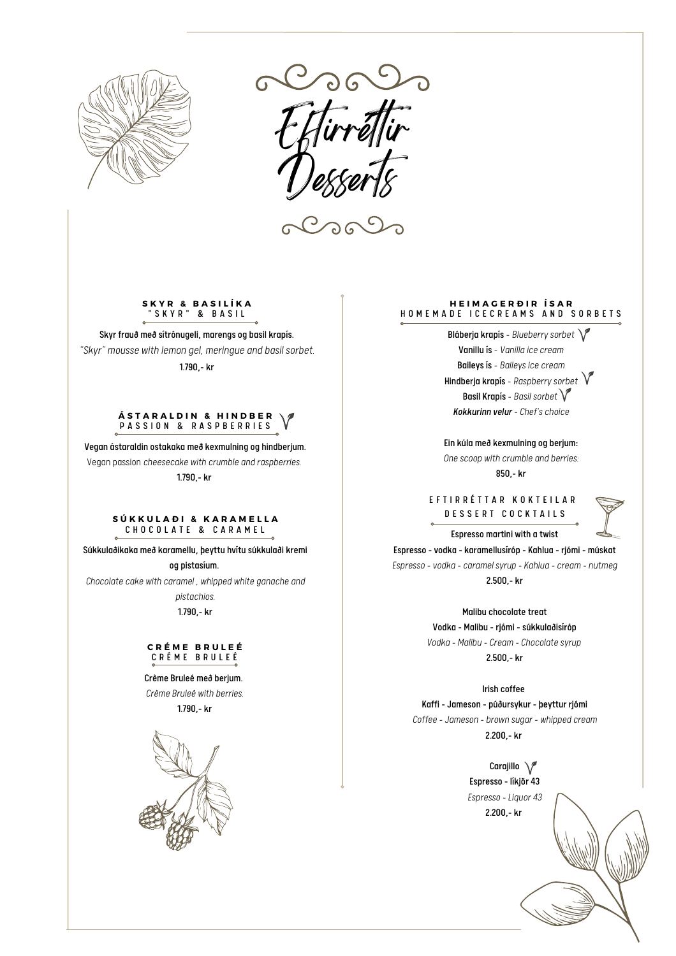

*Eftirrét ir Desserts*

<u>ට ල</u>

**S K Y R & B A S I L Í K A** " S K Y R " & B A S I L

Skyr frauð með sítrónugeli, marengs og basil krapís. *"Skyr" mousse with lemon gel, meringue and basil sorbet.* 1.790,- kr

#### **Á S T A R A L D I N & H I N D B E R** PASSION & RASPBERRIES

Vegan ástaraldin ostakaka með kexmulning og hindberjum. Vegan passion *cheesecake with crumble and raspberries.* 1.790,- kr

#### **S Ú K K U L A Ð I & K A R A M E L L A** CHOCOLATE & CARAMEL

Súkkulaðikaka með karamellu, þeyttu hvítu súkkulaði kremi og pistasíum.

*Chocolate cake with caramel , whipped white ganache and*

*pistachios.* 1.790,- kr

## **C R É M E B R U L E É** C R É M E B R U L E É

Crème Bruleé með berjum. *Crème Bruleé with berries.* 1.790,- kr



#### **H E I M A G E R Ð I R Í S A R** HOMEMADE ICECREAMS AND SORBETS

Bláberja krapís - *Blueberrysorbet* Vanillu ís - *Vanilla ice cream* Baileys ís - *Baileys ice cream* Hindberja krapís - *Raspberrysorbet* Basil Krapís - *Basil sorbet Kokkurinn velur - Chef's choice*

Ein kúla með kexmulning og berjum: *One scoop with crumble and berries:*

850,- kr

E F T I R R É T T A R K O K T E I L A R D E S S E R T C O C K T A I L S



Espresso martini with a twist

Espresso -vodka - karamellusíróp - Kahlua - rjómi - múskat *Espresso -vodka - caramel syrup - Kahlua - cream - nutmeg* 2.500,- kr

> Malibu chocolate treat Vodka - Malibu - rjómi - súkkulaðisíróp *Vodka - Malibu - Cream - Chocolate syrup*

> > 2.500,- kr

Irish coffee

Kaffi -Jameson - púðursykur - þeyttur rjómi

*Coffee -Jameson - brown sugar - whipped cream* 2.200,- kr

> Carajillo \/ Espresso - líkjör 43 *Espresso - Liquor 43* 2.200,- kr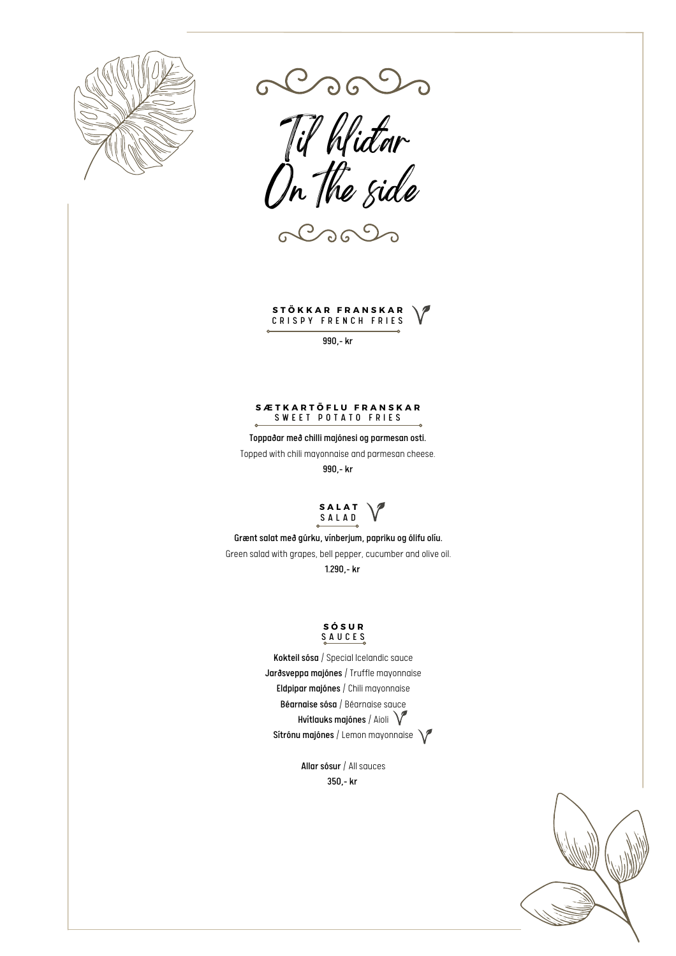

alsolo



 $C$ 

# **S T Ö K K A R F R A N S K A R** C R I S P Y F R E N C H F R I E S

990,- kr

#### **S Æ T K A R T Ö F L U F R A N S K A R** SWEET POTATO FRIES

Toppaðar með chilli majónesi og parmesan osti. Topped with chili mayonnaise and parmesan cheese.

990,- kr

**S A L A T** S A L A D

Grænt salat með gúrku, vínberjum, papriku og ólifu olíu. Green salad with grapes, bell pepper, cucumber and olive oil. 1.290,- kr

# **S Ó S U R** S A U C E S

Kokteil sósa / Special Icelandic sauce Jarðsveppa majónes / Truffle mayonnaise Eldpipar majónes / Chili mayonnaise Béarnaise sósa / Béarnaise sauce Hvítlauks majónes / Aioli  $\sqrt{\ }$ Sítrónu majónes / Lemon mayonnaise

> Allar sósur / All sauces 350,- kr

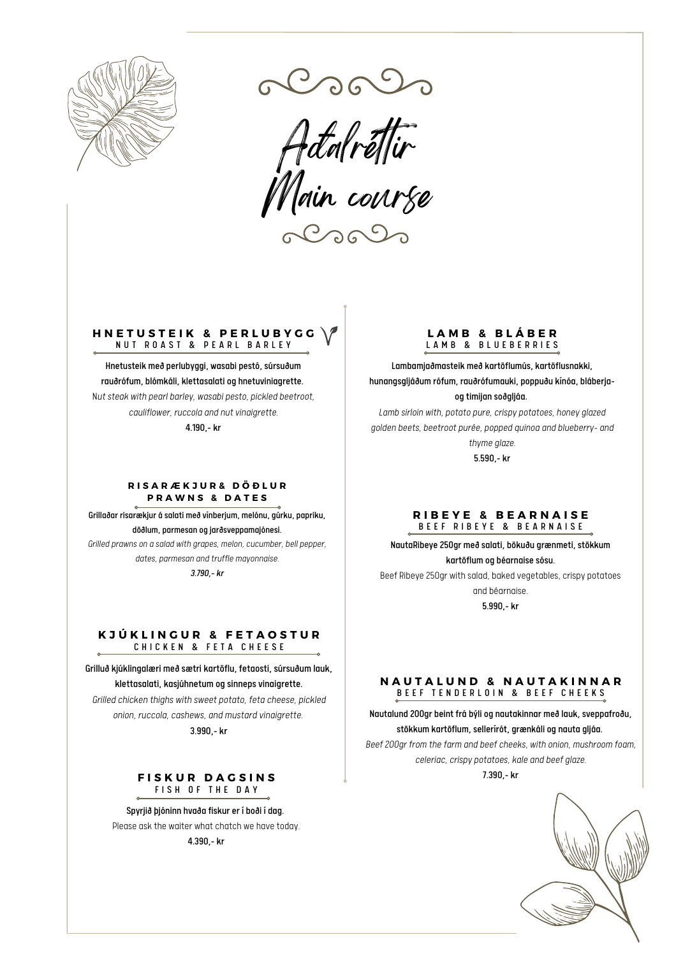

*Aðalrét ir Main course*

# **H N E T U S T E I K & P E R L U B Y G G** N U T R O A S T & PEARL BARLEY

Hnetusteik með perlubyggi, wasabi pestó, súrsuðum rauðrófum, blómkáli, klettasalati og hnetuviniagrette. N*ut steak with pearl barley, wasabi pesto, pickled beetroot, cauliflower, ruccola and nutvinaigrette.* 4.190,- kr

# **R I S A R Æ K J U R & D Ö Ð LU R P R A W N S & D A T E S**

Grillaðar risarækjur á salati með vínberjum, melónu, gúrku, papriku, döðlum, parmesan og jarðsveppamajónesi.

*Grilled prawns on a salad with grapes, melon, cucumber, bell pepper, dates, parmesan and truffle mayonnaise.*

*3.790,- kr*

# **K J Ú K L I N G U R & F E T A O S T U R** CHICKEN & FETA CHEESE

Grilluð kjúklingalæri með sætri kartöflu, fetaosti, súrsuðum lauk, klettasalati, kasjúhnetum og sinneps vinaigrette. *Grilled chicken thighs with sweet potato, feta cheese, pickled*

*onion, ruccola, cashews, and mustard vinaigrette.*

3.990,- kr

# $F$ **ISKUR DAGSINS** FISH OF THE DAY

Spyrjið þjóninn hvaða fiskur er í boði í dag. Please ask the waiter what chatch we have today.

4.390,- kr

# **L A M B & B L Á B E R** LAMB & BLUEBERRIES

Lambamjaðmasteik með kartöflumús, kartöflusnakki, hunangsgljáðum rófum, rauðrófumauki, poppuðu kínóa, bláberjaog timijan soðgljáa.

*Lamb sirloin with, potato pure, crispy potatoes, honey glazed golden beets, beetroot purée, popped quinoa and blueberry- and*

> *thyme glaze.* 5.590,- kr

# **R I B E Y E & B E A R N A I S E** B E E F R I B E Y E & B E A R N A I S E

NautaRibeye 250gr með salati, bökuðu grænmeti, stökkum kartöflum og béarnaise sósu.

Beef Ribeye 250gr with salad, baked vegetables, crispy potatoes

and béarnaise. 5.990,- kr

# **N A U T A L U N D & N A U T A K I N N A R** B E E F T E N D E R L O I N & B E E F C H E E K S

Nautalund 200gr beint frá býli og nautakinnar með lauk, sveppafroðu, stökkum kartöflum, sellerírót, grænkáli og nauta gljáa. *Beef200gr from the farm and beef cheeks, with onion, mushroom foam,*

*celeriac, crispy potatoes, kale and beef glaze.* 7.390,- kr

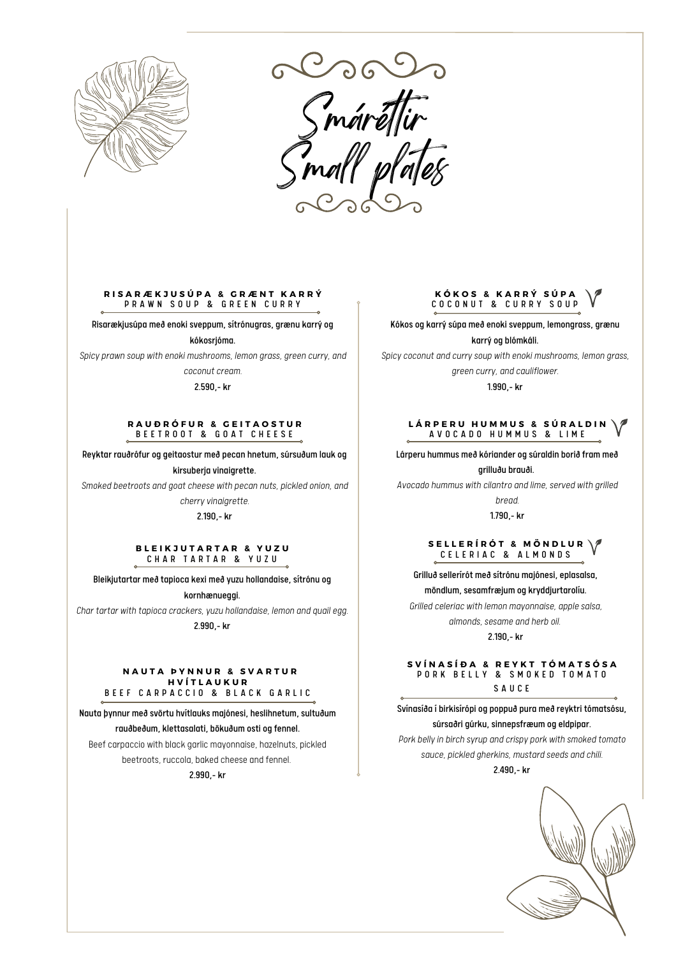

*Smárét ir Small plates*

#### **R I S A R Æ K J U S Ú P A & G R Æ N T K A R R Ý** P R A W N S O U P & G R E E N C U R R Y

Risarækjusúpa með enoki sveppum, sítrónugras, grænu karrý og kókosrjóma.

*Spicy prawn soup with enoki mushrooms, lemon grass, green curry, and*

*coconut cream.* 2.590,- kr

#### **R A U Ð R Ó F U R & G E I T A O S T U R** B E E T R O O T & G O A T C H E E S E

Reyktar rauðrófur og geitaostur með pecan hnetum, súrsuðum lauk og kirsuberja vinaigrette.

*Smoked beetroots and goat cheese with pecan nuts, pickled onion, and*

cherry vinaigrette.

2.190,- kr

#### **B L E I K J U T A R T A R & Y U Z U** CHAR TARTAR & YUZU

Bleikjutartar með tapioca kexi með yuzu hollandaise, sítrónu og

kornhænueggi.

*Char tartar* with *tapioca crackers, yuzu hollandaise, lemon and quail egg.* 

2.990,- kr

#### **N A U T A Þ Y N N U R & S V A R T U R H V Í T L A U K U R** B E E F CARPACCIO & BLACK GARLIC

Nauta þynnur með svörtu hvítlauks majónesi, heslihnetum, sultuðum rauðbeðum, klettasalati, bökuðum osti og fennel.

Beef carpaccio with black garlic mayonnaise, hazelnuts, pickled beetroots, ruccola, baked cheese and fennel.

2.990,- kr

# **K Ó K O S & K A R R Ý S Ú P A** C O C O N U T & C U R R Y S O U P

Kókos og karrýsúpa með enoki sveppum, lemongrass, grænu

karrý og blómkáli.

*Spicy coconut and currysoup with enoki mushrooms, lemon grass, green curry, and cauliflower.*

1.990,- kr

#### **L Á R P E R U H U M M U S & S Ú R A L D I N** A V O C A D O H U M M U S & L I M E

Lárperu hummus með kóriander og súraldin borið fram með grilluðu brauði.

*Avocado hummus with cilantro and lime, served with grilled*

*bread.*

1.790,- kr

#### $\binom{6}{1}$  **B ELLERÍRÓT & MÖNDLUR** CELERIAC & ALMONDS

Grilluð sellerírót með sítrónu majónesi, eplasalsa,

möndlum, sesamfræjum og kryddjurtarolíu.

*Grilled celeriac with lemon mayonnaise, apple salsa,*

*almonds, sesame and herb oil.*

2.190,- kr

#### **S V Í N A S Í Ð A & R E Y K T T Ó M A T S Ó S A** P O R K B E L L Y & SM O K E D T O M A T O S A U C E

Svínasíða í birkisírópi og poppuð pura með reyktri tómatsósu, súrsaðri gúrku, sinnepsfræum og eldpipar.

*Pork bellyin birch syrup and crispy pork with smoked tomato sauce, pickled gherkins, mustard seeds and chili.*

2.490,- kr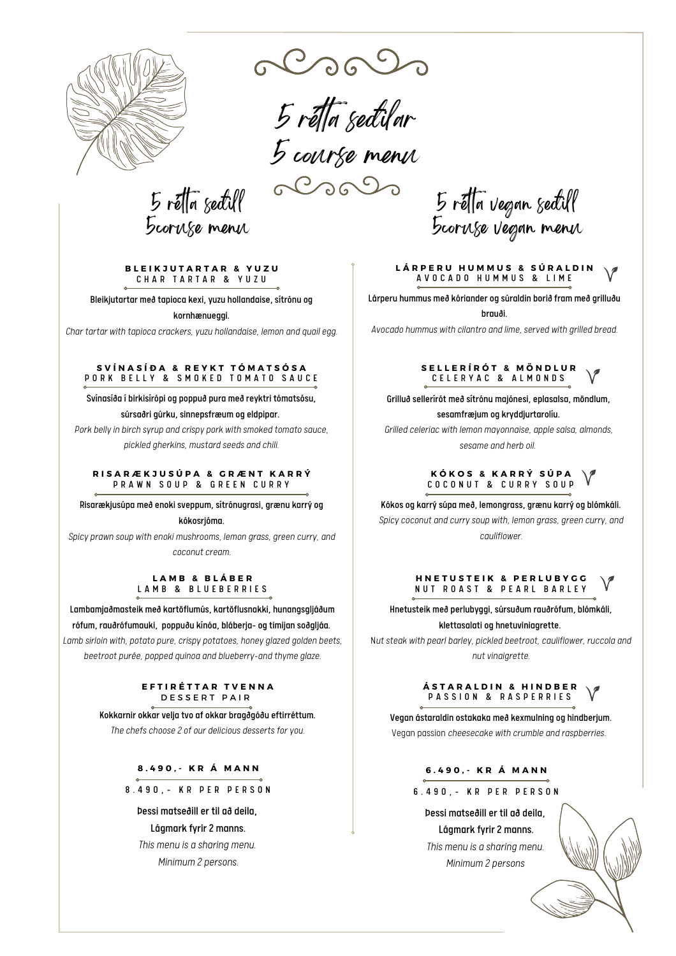

*5 rét a seðilar 5 course menu*

 $5$  ré $\sqrt{7}$  setill 5coruse menu

**B L E I K J U T A R T A R & Y U Z U** CHAR TARTAR & YUZU

Bleikjutartar með tapioca kexi, yuzu hollandaise, sítrónu og

kornhænueggi.

*Char tartar with tapioca crackers,yuzu hollandaise, lemon and quail egg.*

#### **S V Í N A S Í Ð A & R E Y K T T Ó M A T S Ó S A** P O R K B E L L Y & S M O K E D T O M A T O S A U C E

Svínasíða í birkisírópi og poppuð pura með reyktri tómatsósu, súrsaðri gúrku, sinnepsfræum og eldpipar.

*Pork bellyin birch syrup and crispy pork with smoked tomato sauce, pickled gherkins, mustard seeds and chili.*

#### **R I S A R Æ K J U S Ú P A & G R Æ N T K A R R Ý** P R A W N S O U P & G R E E N C U R R Y

Risarækjusúpa með enoki sveppum, sítrónugrasi, grænu karrý og

kókosrjóma.

*Spicy prawn soup with enoki mushrooms, lemon grass, green curry, and coconut cream.*

# **L A M B & B L Á B E R** LAMB & BLUEBERRIES

Lambamjaðmasteik með kartöflumús, kartöflusnakki, hunangsgljáðum rófum, rauðrófumauki, poppuðu kínóa, bláberja- og timijan soðgljáa. *Lamb sirloin with, potato pure, crispy potatoes, honey glazed golden beets, beetroot purée, popped quinoa and blueberry-and thyme glaze.*

#### **E F T I R É T T A R T V E N N A** D E S S E R T P A I R

Kokkarnir okkar velja tvo af okkar bragðgóðu eftirréttum.

*The chefs choose 2 of our delicious desserts foryou.*

**8 . 4 9 0 , - K R Á M A N N**

8.490, - KR PER PERSON

Þessi matseðill er til að deila, Lágmark fyrir 2 manns. *This menu is a sharing menu.*

*Minimum 2 persons.*

5 réfta vegan seðull 5coruse vegan menu

#### **L Á R P E R U H U M M U S & S Ú R A L D I N** A V O C A D O H U M M U S & L I M E

Lárperu hummus með kóriander og súraldin borið fram með grilluðu brauði.

*Avocado hummus with cilantro and lime, served with grilled bread.*

#### **S E L L E R Í R Ó T & M Ö N D L U R** C E L E R Y A C & A L M O N D S

Grilluð sellerírót með sítrónu majónesi, eplasalsa, möndlum, sesamfræjum og kryddjurtarolíu.

*Grilled celeriac with lemon mayonnaise, apple salsa, almonds, sesame and herb oil.*

# **K Ó K O S & K A R R Ý S Ú P A** COCONUT & CURRY SOUP

Kókos og karrýsúpa með, lemongrass, grænu karrý og blómkáli. *Spicy coconut and currysoup with, lemon grass, green curry, and cauliflower.*

#### **H N E T U S T E I K & P E R L U B Y G G** N U T R O A S T & P E A R L B A R L E Y

Hnetusteik með perlubyggi, súrsuðum rauðrófum, blómkáli, klettasalati og hnetuviniagrette.

N*ut steak with pearl barley, pickled beetroot, cauliflower, ruccola and* nut vinaigrette.

#### **Á S T A R A L D I N & H I N D B E R** PASSION & RASPERRIES

Vegan ástaraldin ostakaka með kexmulning og hindberjum. Vegan passion *cheesecake with crumble and raspberries.*

# **6 . 4 9 0 , - K R Á M A N N**

# 6 . 4 9 0 , - K R P E R P E R S O N

Þessi matseðill er til að deila, Lágmark fyrir 2 manns. *This menu is a sharing menu. Minimum 2 persons*

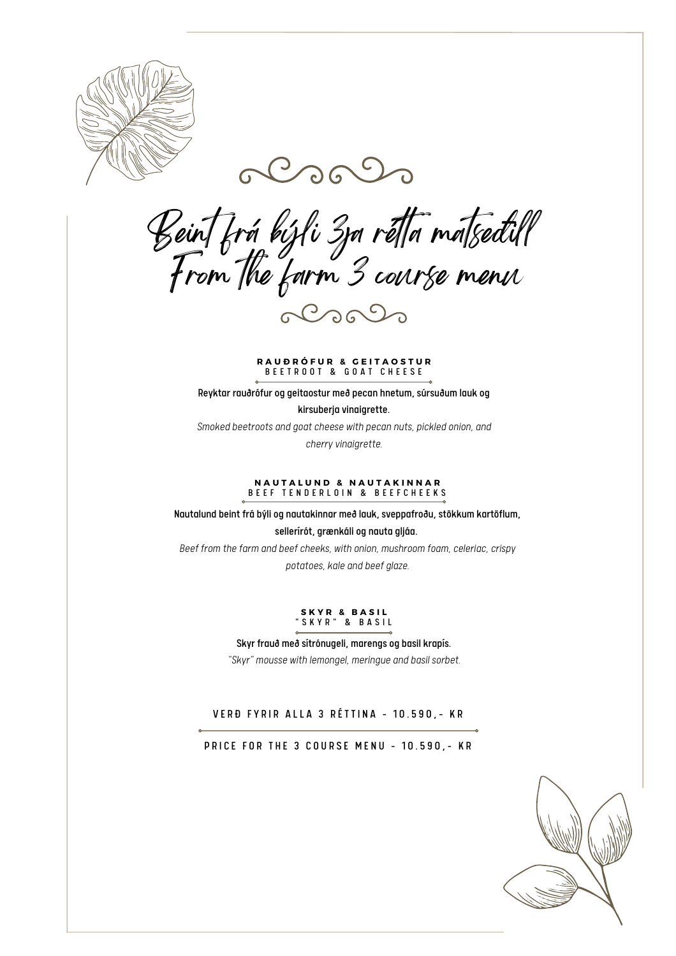



*Beint frá býli 3ja rét a matseðill From the farm 3 course menu* alsols

**R A U Ð R Ó F U R & G E I T A O S T U R** B E E T R O O T & G O A T C H E E S E

Reyktar rauðrófur og geitaostur með pecan hnetum, súrsuðum lauk og

kirsuberja vinaigrette.

*Smoked beetroots and goat cheese with pecan nuts, pickled onion, and*

cherry vinaigrette.

## **N A U T A L U N D & N A U T A K I N N A R** BEEF TENDERLOIN & BEEFCHEEKS

Nautalund beint frá býli og nautakinnar með lauk, sveppafroðu, stökkum kartöflum, sellerírót, grænkáli og nauta gljáa. *Beef from the farm and beef cheeks, with onion, mushroom foam, celeriac, crispy*

*potatoes, kale and beef glaze.*

# **S K Y R & B A S I L** " S K Y R " & B A S I L

Skyr frauð með sítrónugeli, marengs og basil krapís. *"Skyr" mousse with lemongel, meringue and basil sorbet.*

VERÐ FYRIR ALLA 3 RÉTTINA - 10.590, - KR

PRICE FOR THE 3 COURSE MENU - 10.590, - KR